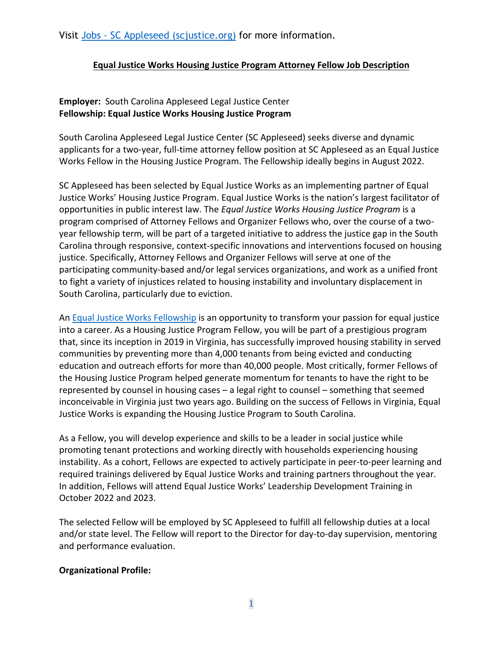Visit Jobs - [SC Appleseed \(scjustice.org\)](http://www.scjustice.org/jobs/) for more information.

### **Equal Justice Works Housing Justice Program Attorney Fellow Job Description**

# **Employer:** South Carolina Appleseed Legal Justice Center **Fellowship: Equal Justice Works Housing Justice Program**

South Carolina Appleseed Legal Justice Center (SC Appleseed) seeks diverse and dynamic applicants for a two-year, full-time attorney fellow position at SC Appleseed as an Equal Justice Works Fellow in the Housing Justice Program. The Fellowship ideally begins in August 2022.

SC Appleseed has been selected by Equal Justice Works as an implementing partner of Equal Justice Works' Housing Justice Program. Equal Justice Works is the nation's largest facilitator of opportunities in public interest law. The *Equal Justice Works Housing Justice Program* is a program comprised of Attorney Fellows and Organizer Fellows who, over the course of a twoyear fellowship term, will be part of a targeted initiative to address the justice gap in the South Carolina through responsive, context-specific innovations and interventions focused on housing justice. Specifically, Attorney Fellows and Organizer Fellows will serve at one of the participating community-based and/or legal services organizations, and work as a unified front to fight a variety of injustices related to housing instability and involuntary displacement in South Carolina, particularly due to eviction.

An [Equal Justice Works Fellowship](https://www.equaljusticeworks.org/become-a-fellow/) is an opportunity to transform your passion for equal justice into a career. As a Housing Justice Program Fellow, you will be part of a prestigious program that, since its inception in 2019 in Virginia, has successfully improved housing stability in served communities by preventing more than 4,000 tenants from being evicted and conducting education and outreach efforts for more than 40,000 people. Most critically, former Fellows of the Housing Justice Program helped generate momentum for tenants to have the right to be represented by counsel in housing cases – a legal right to counsel – something that seemed inconceivable in Virginia just two years ago. Building on the success of Fellows in Virginia, Equal Justice Works is expanding the Housing Justice Program to South Carolina.

As a Fellow, you will develop experience and skills to be a leader in social justice while promoting tenant protections and working directly with households experiencing housing instability. As a cohort, Fellows are expected to actively participate in peer-to-peer learning and required trainings delivered by Equal Justice Works and training partners throughout the year. In addition, Fellows will attend Equal Justice Works' Leadership Development Training in October 2022 and 2023.

The selected Fellow will be employed by SC Appleseed to fulfill all fellowship duties at a local and/or state level. The Fellow will report to the Director for day-to-day supervision, mentoring and performance evaluation.

### **Organizational Profile:**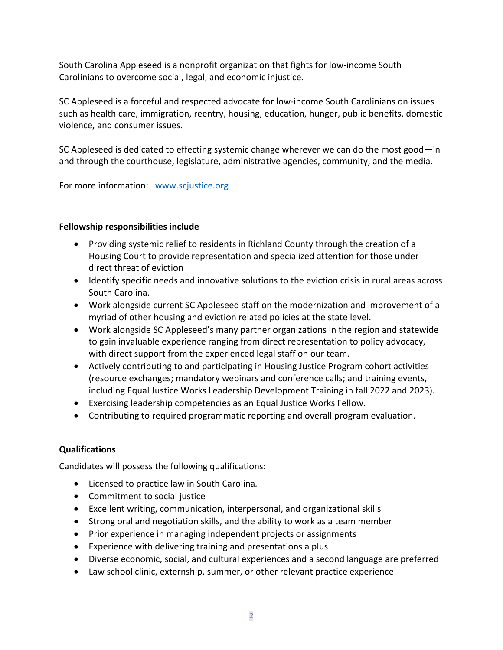South Carolina Appleseed is a nonprofit organization that fights for low-income South Carolinians to overcome social, legal, and economic injustice.

SC Appleseed is a forceful and respected advocate for low-income South Carolinians on issues such as health care, immigration, reentry, housing, education, hunger, public benefits, domestic violence, and consumer issues.

SC Appleseed is dedicated to effecting systemic change wherever we can do the most good—in and through the courthouse, legislature, administrative agencies, community, and the media.

For more information: [www.scjustice.org](http://www.scjustice.org/)

### **Fellowship responsibilities include**

- Providing systemic relief to residents in Richland County through the creation of a Housing Court to provide representation and specialized attention for those under direct threat of eviction
- Identify specific needs and innovative solutions to the eviction crisis in rural areas across South Carolina.
- Work alongside current SC Appleseed staff on the modernization and improvement of a myriad of other housing and eviction related policies at the state level.
- Work alongside SC Appleseed's many partner organizations in the region and statewide to gain invaluable experience ranging from direct representation to policy advocacy, with direct support from the experienced legal staff on our team.
- Actively contributing to and participating in Housing Justice Program cohort activities (resource exchanges; mandatory webinars and conference calls; and training events, including Equal Justice Works Leadership Development Training in fall 2022 and 2023).
- Exercising leadership competencies as an Equal Justice Works Fellow.
- Contributing to required programmatic reporting and overall program evaluation.

### **Qualifications**

Candidates will possess the following qualifications:

- Licensed to practice law in South Carolina*.*
- Commitment to social justice
- Excellent writing, communication, interpersonal, and organizational skills
- Strong oral and negotiation skills, and the ability to work as a team member
- Prior experience in managing independent projects or assignments
- Experience with delivering training and presentations a plus
- Diverse economic, social, and cultural experiences and a second language are preferred
- Law school clinic, externship, summer, or other relevant practice experience